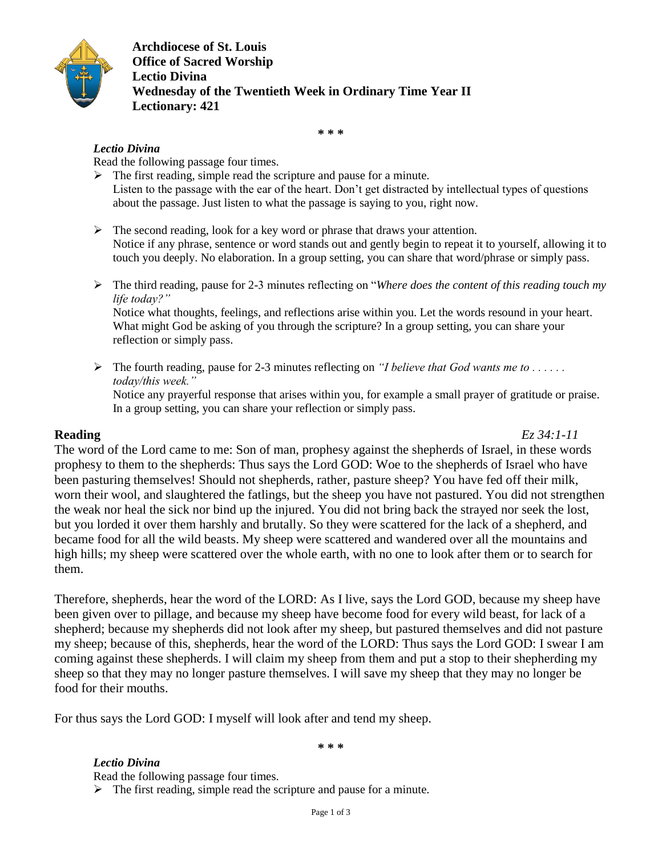

**Archdiocese of St. Louis Office of Sacred Worship Lectio Divina Wednesday of the Twentieth Week in Ordinary Time Year II Lectionary: 421**

**\* \* \***

## *Lectio Divina*

Read the following passage four times.

- $\triangleright$  The first reading, simple read the scripture and pause for a minute. Listen to the passage with the ear of the heart. Don't get distracted by intellectual types of questions about the passage. Just listen to what the passage is saying to you, right now.
- $\triangleright$  The second reading, look for a key word or phrase that draws your attention. Notice if any phrase, sentence or word stands out and gently begin to repeat it to yourself, allowing it to touch you deeply. No elaboration. In a group setting, you can share that word/phrase or simply pass.
- The third reading, pause for 2-3 minutes reflecting on "*Where does the content of this reading touch my life today?"* Notice what thoughts, feelings, and reflections arise within you. Let the words resound in your heart. What might God be asking of you through the scripture? In a group setting, you can share your reflection or simply pass.
- $\triangleright$  The fourth reading, pause for 2-3 minutes reflecting on *"I believe that God wants me to ..... today/this week."* Notice any prayerful response that arises within you, for example a small prayer of gratitude or praise. In a group setting, you can share your reflection or simply pass.

**Reading** *Ez 34:1-11*

The word of the Lord came to me: Son of man, prophesy against the shepherds of Israel, in these words prophesy to them to the shepherds: Thus says the Lord GOD: Woe to the shepherds of Israel who have been pasturing themselves! Should not shepherds, rather, pasture sheep? You have fed off their milk, worn their wool, and slaughtered the fatlings, but the sheep you have not pastured. You did not strengthen the weak nor heal the sick nor bind up the injured. You did not bring back the strayed nor seek the lost, but you lorded it over them harshly and brutally. So they were scattered for the lack of a shepherd, and became food for all the wild beasts. My sheep were scattered and wandered over all the mountains and high hills; my sheep were scattered over the whole earth, with no one to look after them or to search for them.

Therefore, shepherds, hear the word of the LORD: As I live, says the Lord GOD, because my sheep have been given over to pillage, and because my sheep have become food for every wild beast, for lack of a shepherd; because my shepherds did not look after my sheep, but pastured themselves and did not pasture my sheep; because of this, shepherds, hear the word of the LORD: Thus says the Lord GOD: I swear I am coming against these shepherds. I will claim my sheep from them and put a stop to their shepherding my sheep so that they may no longer pasture themselves. I will save my sheep that they may no longer be food for their mouths.

For thus says the Lord GOD: I myself will look after and tend my sheep.

**\* \* \***

*Lectio Divina* Read the following passage four times.  $\triangleright$  The first reading, simple read the scripture and pause for a minute.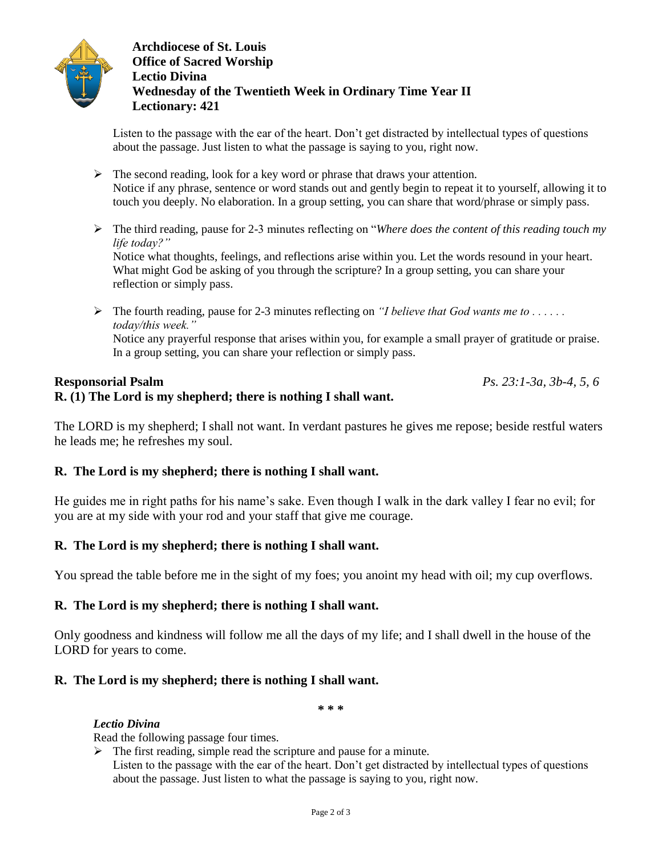

**Archdiocese of St. Louis Office of Sacred Worship Lectio Divina Wednesday of the Twentieth Week in Ordinary Time Year II Lectionary: 421**

Listen to the passage with the ear of the heart. Don't get distracted by intellectual types of questions about the passage. Just listen to what the passage is saying to you, right now.

- $\triangleright$  The second reading, look for a key word or phrase that draws your attention. Notice if any phrase, sentence or word stands out and gently begin to repeat it to yourself, allowing it to touch you deeply. No elaboration. In a group setting, you can share that word/phrase or simply pass.
- The third reading, pause for 2-3 minutes reflecting on "*Where does the content of this reading touch my life today?"*

Notice what thoughts, feelings, and reflections arise within you. Let the words resound in your heart. What might God be asking of you through the scripture? In a group setting, you can share your reflection or simply pass.

 $\triangleright$  The fourth reading, pause for 2-3 minutes reflecting on *"I believe that God wants me to ..... today/this week."* Notice any prayerful response that arises within you, for example a small prayer of gratitude or praise. In a group setting, you can share your reflection or simply pass.

## **Responsorial Psalm** *Ps. 23:1-3a, 3b-4, 5, 6*

# **R. (1) The Lord is my shepherd; there is nothing I shall want.**

The LORD is my shepherd; I shall not want. In verdant pastures he gives me repose; beside restful waters he leads me; he refreshes my soul.

## **R. The Lord is my shepherd; there is nothing I shall want.**

He guides me in right paths for his name's sake. Even though I walk in the dark valley I fear no evil; for you are at my side with your rod and your staff that give me courage.

## **R. The Lord is my shepherd; there is nothing I shall want.**

You spread the table before me in the sight of my foes; you anoint my head with oil; my cup overflows.

## **R. The Lord is my shepherd; there is nothing I shall want.**

Only goodness and kindness will follow me all the days of my life; and I shall dwell in the house of the LORD for years to come.

## **R. The Lord is my shepherd; there is nothing I shall want.**

**\* \* \***

#### *Lectio Divina*

Read the following passage four times.

- $\triangleright$  The first reading, simple read the scripture and pause for a minute.
	- Listen to the passage with the ear of the heart. Don't get distracted by intellectual types of questions about the passage. Just listen to what the passage is saying to you, right now.